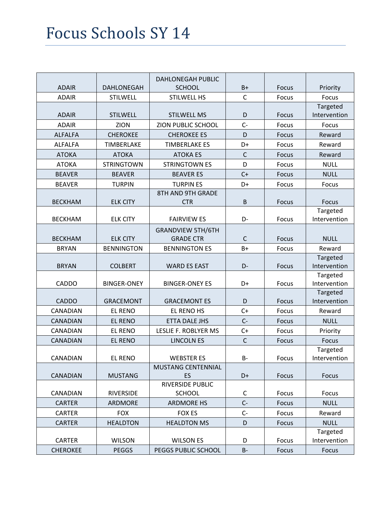|                 |                    | <b>DAHLONEGAH PUBLIC</b>  |              |              |                          |
|-----------------|--------------------|---------------------------|--------------|--------------|--------------------------|
| <b>ADAIR</b>    | <b>DAHLONEGAH</b>  | <b>SCHOOL</b>             | $B+$         | Focus        | Priority                 |
| <b>ADAIR</b>    | <b>STILWELL</b>    | <b>STILWELL HS</b>        | $\mathsf{C}$ | Focus        | Focus                    |
|                 |                    |                           |              |              | Targeted                 |
| <b>ADAIR</b>    | <b>STILWELL</b>    | <b>STILWELL MS</b>        | D            | Focus        | Intervention             |
| <b>ADAIR</b>    | ZION               | ZION PUBLIC SCHOOL        | $C -$        | Focus        | Focus                    |
| <b>ALFALFA</b>  | <b>CHEROKEE</b>    | <b>CHEROKEE ES</b>        | D            | <b>Focus</b> | Reward                   |
| <b>ALFALFA</b>  | <b>TIMBERLAKE</b>  | <b>TIMBERLAKE ES</b>      | D+           | Focus        | Reward                   |
| <b>ATOKA</b>    | <b>ATOKA</b>       | <b>ATOKA ES</b>           | $\mathsf{C}$ | <b>Focus</b> | Reward                   |
| <b>ATOKA</b>    | <b>STRINGTOWN</b>  | <b>STRINGTOWN ES</b>      | D            | Focus        | <b>NULL</b>              |
| <b>BEAVER</b>   | <b>BEAVER</b>      | <b>BEAVER ES</b>          | $C+$         | <b>Focus</b> | <b>NULL</b>              |
| <b>BEAVER</b>   | <b>TURPIN</b>      | <b>TURPIN ES</b>          | D+           | Focus        | Focus                    |
|                 |                    | 8TH AND 9TH GRADE         |              |              |                          |
| <b>BECKHAM</b>  | <b>ELK CITY</b>    | <b>CTR</b>                | B            | <b>Focus</b> | Focus                    |
|                 |                    |                           |              |              | Targeted                 |
| <b>BECKHAM</b>  | <b>ELK CITY</b>    | <b>FAIRVIEW ES</b>        | D-           | Focus        | Intervention             |
|                 |                    | <b>GRANDVIEW 5TH/6TH</b>  |              |              |                          |
| <b>BECKHAM</b>  | <b>ELK CITY</b>    | <b>GRADE CTR</b>          | $\mathsf{C}$ | Focus        | <b>NULL</b>              |
| <b>BRYAN</b>    | <b>BENNINGTON</b>  | <b>BENNINGTON ES</b>      | $B+$         | Focus        | Reward                   |
|                 |                    |                           |              |              | Targeted                 |
| <b>BRYAN</b>    | <b>COLBERT</b>     | <b>WARD ES EAST</b>       | D-           | Focus        | Intervention             |
| <b>CADDO</b>    | <b>BINGER-ONEY</b> | <b>BINGER-ONEY ES</b>     | D+           | Focus        | Targeted<br>Intervention |
|                 |                    |                           |              |              | Targeted                 |
| <b>CADDO</b>    | <b>GRACEMONT</b>   | <b>GRACEMONT ES</b>       | D            | Focus        | Intervention             |
| <b>CANADIAN</b> | <b>EL RENO</b>     | EL RENO HS                | $C+$         | Focus        | Reward                   |
| <b>CANADIAN</b> | <b>EL RENO</b>     | ETTA DALE JHS             | $C -$        | <b>Focus</b> | <b>NULL</b>              |
| <b>CANADIAN</b> | <b>EL RENO</b>     | LESLIE F. ROBLYER MS      | $C+$         | Focus        | Priority                 |
| <b>CANADIAN</b> | <b>EL RENO</b>     | <b>LINCOLN ES</b>         | $\mathsf{C}$ | Focus        | Focus                    |
|                 |                    |                           |              |              | Targeted                 |
| CANADIAN        | <b>EL RENO</b>     | <b>WEBSTER ES</b>         | B-           | Focus        | Intervention             |
|                 |                    | <b>MUSTANG CENTENNIAL</b> |              |              |                          |
| <b>CANADIAN</b> | <b>MUSTANG</b>     | ES                        | D+           | Focus        | <b>Focus</b>             |
|                 |                    | RIVERSIDE PUBLIC          |              |              |                          |
| <b>CANADIAN</b> | RIVERSIDE          | <b>SCHOOL</b>             | $\mathsf C$  | Focus        | Focus                    |
| <b>CARTER</b>   | <b>ARDMORE</b>     | <b>ARDMORE HS</b>         | $C -$        | <b>Focus</b> | <b>NULL</b>              |
| <b>CARTER</b>   | <b>FOX</b>         | FOX ES                    | $C-$         | Focus        | Reward                   |
| <b>CARTER</b>   | <b>HEALDTON</b>    | <b>HEALDTON MS</b>        | D            | <b>Focus</b> | <b>NULL</b>              |
|                 |                    |                           |              |              | Targeted                 |
| <b>CARTER</b>   | <b>WILSON</b>      | <b>WILSON ES</b>          | D            | Focus        | Intervention             |
| <b>CHEROKEE</b> | <b>PEGGS</b>       | PEGGS PUBLIC SCHOOL       | $B -$        | Focus        | Focus                    |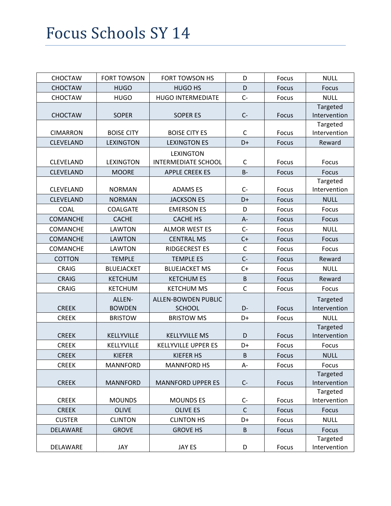| <b>CHOCTAW</b>   | <b>FORT TOWSON</b> | <b>FORT TOWSON HS</b>      | D            | Focus        | <b>NULL</b>  |
|------------------|--------------------|----------------------------|--------------|--------------|--------------|
| <b>CHOCTAW</b>   | <b>HUGO</b>        | <b>HUGO HS</b>             | D            | Focus        | <b>Focus</b> |
| <b>CHOCTAW</b>   | <b>HUGO</b>        | <b>HUGO INTERMEDIATE</b>   | $C -$        | Focus        | <b>NULL</b>  |
|                  |                    |                            |              |              | Targeted     |
| <b>CHOCTAW</b>   | <b>SOPER</b>       | <b>SOPERES</b>             | $C -$        | Focus        | Intervention |
|                  |                    |                            |              |              | Targeted     |
| <b>CIMARRON</b>  | <b>BOISE CITY</b>  | <b>BOISE CITY ES</b>       | C            | Focus        | Intervention |
| <b>CLEVELAND</b> | <b>LEXINGTON</b>   | <b>LEXINGTON ES</b>        | D+           | Focus        | Reward       |
|                  |                    | <b>LEXINGTON</b>           |              |              |              |
| <b>CLEVELAND</b> | <b>LEXINGTON</b>   | <b>INTERMEDIATE SCHOOL</b> | $\mathsf C$  | Focus        | Focus        |
| <b>CLEVELAND</b> | <b>MOORE</b>       | <b>APPLE CREEK ES</b>      | $B -$        | <b>Focus</b> | Focus        |
|                  |                    |                            |              |              | Targeted     |
| <b>CLEVELAND</b> | <b>NORMAN</b>      | <b>ADAMSES</b>             | $C-$         | Focus        | Intervention |
| <b>CLEVELAND</b> | <b>NORMAN</b>      | <b>JACKSON ES</b>          | D+           | <b>Focus</b> | <b>NULL</b>  |
| <b>COAL</b>      | <b>COALGATE</b>    | <b>EMERSON ES</b>          | D            | Focus        | Focus        |
| <b>COMANCHE</b>  | <b>CACHE</b>       | <b>CACHE HS</b>            | A-           | Focus        | <b>Focus</b> |
| <b>COMANCHE</b>  | <b>LAWTON</b>      | <b>ALMOR WEST ES</b>       | $C -$        | Focus        | <b>NULL</b>  |
| <b>COMANCHE</b>  | <b>LAWTON</b>      | <b>CENTRAL MS</b>          | $C+$         | Focus        | Focus        |
| COMANCHE         | <b>LAWTON</b>      | <b>RIDGECREST ES</b>       | $\mathsf C$  | Focus        | Focus        |
| <b>COTTON</b>    | <b>TEMPLE</b>      | <b>TEMPLE ES</b>           | $C -$        | <b>Focus</b> | Reward       |
| <b>CRAIG</b>     | <b>BLUEJACKET</b>  | <b>BLUEJACKET MS</b>       | $C+$         | Focus        | <b>NULL</b>  |
| <b>CRAIG</b>     | <b>KETCHUM</b>     | <b>KETCHUM ES</b>          | $\sf B$      | Focus        | Reward       |
| <b>CRAIG</b>     | <b>KETCHUM</b>     | <b>KETCHUM MS</b>          | $\mathsf{C}$ | Focus        | Focus        |
|                  | ALLEN-             | <b>ALLEN-BOWDEN PUBLIC</b> |              |              | Targeted     |
| <b>CREEK</b>     | <b>BOWDEN</b>      | <b>SCHOOL</b>              | D-           | Focus        | Intervention |
| <b>CREEK</b>     | <b>BRISTOW</b>     | <b>BRISTOW MS</b>          | D+           | Focus        | <b>NULL</b>  |
|                  |                    |                            |              |              | Targeted     |
| <b>CREEK</b>     | KELLYVILLE         | <b>KELLYVILLE MS</b>       | D            | Focus        | Intervention |
| <b>CREEK</b>     | KELLYVILLE         | <b>KELLYVILLE UPPER ES</b> | D+           | Focus        | Focus        |
| <b>CREEK</b>     | <b>KIEFER</b>      | <b>KIEFER HS</b>           | B            | <b>Focus</b> | <b>NULL</b>  |
| <b>CREEK</b>     | <b>MANNFORD</b>    | <b>MANNFORD HS</b>         | A-           | Focus        | Focus        |
|                  |                    |                            |              |              | Targeted     |
| <b>CREEK</b>     | <b>MANNFORD</b>    | <b>MANNFORD UPPER ES</b>   | $C-$         | Focus        | Intervention |
|                  |                    |                            |              |              | Targeted     |
| <b>CREEK</b>     | <b>MOUNDS</b>      | <b>MOUNDS ES</b>           | $C-$         | Focus        | Intervention |
| <b>CREEK</b>     | <b>OLIVE</b>       | <b>OLIVE ES</b>            | $\mathsf{C}$ | Focus        | Focus        |
| <b>CUSTER</b>    | <b>CLINTON</b>     | <b>CLINTON HS</b>          | D+           | Focus        | <b>NULL</b>  |
| DELAWARE         | <b>GROVE</b>       | <b>GROVE HS</b>            | B            | Focus        | Focus        |
|                  |                    |                            |              |              | Targeted     |
| DELAWARE         | JAY                | JAY ES                     | D            | Focus        | Intervention |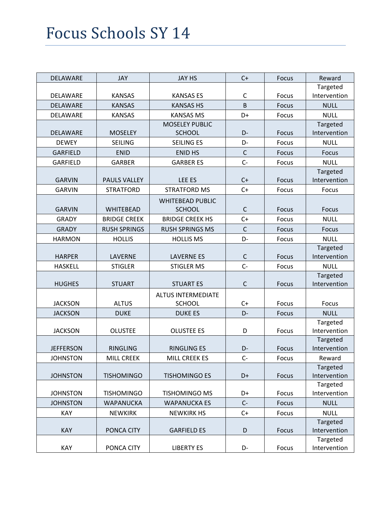| <b>DELAWARE</b>  | <b>JAY</b>          | <b>JAY HS</b>             | $C+$        | Focus        | Reward                   |
|------------------|---------------------|---------------------------|-------------|--------------|--------------------------|
|                  |                     |                           |             |              | Targeted                 |
| DELAWARE         | <b>KANSAS</b>       | <b>KANSAS ES</b>          | $\mathsf C$ | Focus        | Intervention             |
| DELAWARE         | <b>KANSAS</b>       | <b>KANSAS HS</b>          | B           | Focus        | <b>NULL</b>              |
| DELAWARE         | <b>KANSAS</b>       | <b>KANSAS MS</b>          | D+          | <b>Focus</b> | <b>NULL</b>              |
|                  |                     | <b>MOSELEY PUBLIC</b>     |             |              | Targeted                 |
| DELAWARE         | <b>MOSELEY</b>      | <b>SCHOOL</b>             | D-          | Focus        | Intervention             |
| <b>DEWEY</b>     | <b>SEILING</b>      | <b>SEILING ES</b>         | D-          | Focus        | <b>NULL</b>              |
| <b>GARFIELD</b>  | <b>ENID</b>         | <b>ENID HS</b>            | $\mathsf C$ | <b>Focus</b> | <b>Focus</b>             |
| <b>GARFIELD</b>  | <b>GARBER</b>       | <b>GARBER ES</b>          | $C -$       | Focus        | <b>NULL</b>              |
|                  |                     |                           |             |              | Targeted                 |
| <b>GARVIN</b>    | <b>PAULS VALLEY</b> | LEE ES                    | $C+$        | Focus        | Intervention             |
| <b>GARVIN</b>    | <b>STRATFORD</b>    | <b>STRATFORD MS</b>       | $C+$        | Focus        | Focus                    |
|                  |                     | <b>WHITEBEAD PUBLIC</b>   |             |              |                          |
| <b>GARVIN</b>    | <b>WHITEBEAD</b>    | <b>SCHOOL</b>             | $\mathsf C$ | <b>Focus</b> | Focus                    |
| <b>GRADY</b>     | <b>BRIDGE CREEK</b> | <b>BRIDGE CREEK HS</b>    | $C+$        | <b>Focus</b> | <b>NULL</b>              |
| <b>GRADY</b>     | <b>RUSH SPRINGS</b> | <b>RUSH SPRINGS MS</b>    | $\mathsf C$ | Focus        | <b>Focus</b>             |
| <b>HARMON</b>    | <b>HOLLIS</b>       | <b>HOLLIS MS</b>          | D-          | <b>Focus</b> | <b>NULL</b>              |
|                  |                     |                           |             |              | Targeted                 |
| <b>HARPER</b>    | LAVERNE             | <b>LAVERNE ES</b>         | $\mathsf C$ | Focus        | Intervention             |
| <b>HASKELL</b>   | <b>STIGLER</b>      | <b>STIGLER MS</b>         | $C -$       | Focus        | <b>NULL</b>              |
|                  |                     |                           |             |              | Targeted                 |
| <b>HUGHES</b>    | <b>STUART</b>       | <b>STUART ES</b>          | $\mathsf C$ | Focus        | Intervention             |
|                  |                     | <b>ALTUS INTERMEDIATE</b> |             |              |                          |
| <b>JACKSON</b>   | <b>ALTUS</b>        | <b>SCHOOL</b>             | $C+$        | Focus        | Focus                    |
| <b>JACKSON</b>   | <b>DUKE</b>         | <b>DUKE ES</b>            | D-          | Focus        | <b>NULL</b>              |
|                  |                     |                           |             |              | Targeted                 |
| <b>JACKSON</b>   | <b>OLUSTEE</b>      | <b>OLUSTEE ES</b>         | D           | Focus        | Intervention             |
|                  |                     |                           |             |              | Targeted                 |
| <b>JEFFERSON</b> | <b>RINGLING</b>     | <b>RINGLING ES</b>        | D-          | Focus        | Intervention             |
| <b>JOHNSTON</b>  | <b>MILL CREEK</b>   | MILL CREEK ES             | $C-$        | Focus        | Reward                   |
|                  |                     |                           |             |              | Targeted                 |
| <b>JOHNSTON</b>  | <b>TISHOMINGO</b>   | <b>TISHOMINGO ES</b>      | D+          | Focus        | Intervention             |
|                  | <b>TISHOMINGO</b>   |                           |             |              | Targeted                 |
| <b>JOHNSTON</b>  |                     | <b>TISHOMINGO MS</b>      | D+          | Focus        | Intervention             |
| <b>JOHNSTON</b>  | <b>WAPANUCKA</b>    | <b>WAPANUCKA ES</b>       | $C -$       | Focus        | <b>NULL</b>              |
| KAY              | <b>NEWKIRK</b>      | <b>NEWKIRK HS</b>         | $C+$        | Focus        | <b>NULL</b>              |
| KAY              | PONCA CITY          | <b>GARFIELD ES</b>        | D           | Focus        | Targeted<br>Intervention |
|                  |                     |                           |             |              | Targeted                 |
| KAY              | PONCA CITY          | <b>LIBERTY ES</b>         | D-          | Focus        | Intervention             |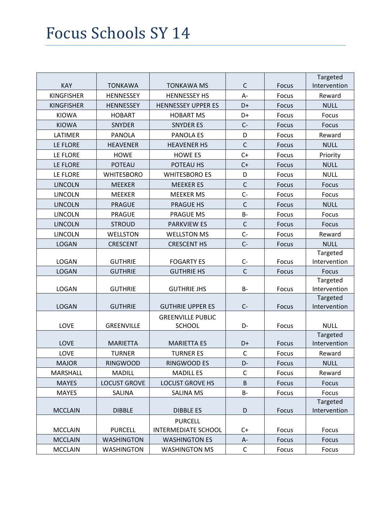|                   |                     |                                              |              |              | Targeted                 |
|-------------------|---------------------|----------------------------------------------|--------------|--------------|--------------------------|
| KAY               | <b>TONKAWA</b>      | <b>TONKAWA MS</b>                            | $\mathsf{C}$ | <b>Focus</b> | Intervention             |
| <b>KINGFISHER</b> | <b>HENNESSEY</b>    | <b>HENNESSEY HS</b>                          | $A -$        | Focus        | Reward                   |
| <b>KINGFISHER</b> | <b>HENNESSEY</b>    | <b>HENNESSEY UPPER ES</b>                    | D+           | Focus        | <b>NULL</b>              |
| <b>KIOWA</b>      | <b>HOBART</b>       | <b>HOBART MS</b>                             | D+           | Focus        | Focus                    |
| <b>KIOWA</b>      | <b>SNYDER</b>       | <b>SNYDER ES</b>                             | $C -$        | Focus        | <b>Focus</b>             |
| LATIMER           | <b>PANOLA</b>       | <b>PANOLA ES</b>                             | D            | Focus        | Reward                   |
| LE FLORE          | <b>HEAVENER</b>     | <b>HEAVENER HS</b>                           | $\mathsf{C}$ | Focus        | <b>NULL</b>              |
| LE FLORE          | <b>HOWE</b>         | <b>HOWE ES</b>                               | $C+$         | Focus        | Priority                 |
| LE FLORE          | <b>POTEAU</b>       | POTEAU HS                                    | $C+$         | Focus        | <b>NULL</b>              |
| LE FLORE          | <b>WHITESBORO</b>   | <b>WHITESBORO ES</b>                         | D            | Focus        | <b>NULL</b>              |
| <b>LINCOLN</b>    | <b>MEEKER</b>       | <b>MEEKER ES</b>                             | $\mathsf{C}$ | <b>Focus</b> | Focus                    |
| <b>LINCOLN</b>    | <b>MEEKER</b>       | <b>MEEKER MS</b>                             | $C -$        | Focus        | Focus                    |
| <b>LINCOLN</b>    | <b>PRAGUE</b>       | <b>PRAGUE HS</b>                             | $\mathsf{C}$ | Focus        | <b>NULL</b>              |
| <b>LINCOLN</b>    | <b>PRAGUE</b>       | <b>PRAGUE MS</b>                             | $B -$        | Focus        | Focus                    |
| <b>LINCOLN</b>    | <b>STROUD</b>       | <b>PARKVIEW ES</b>                           | $\mathsf C$  | Focus        | <b>Focus</b>             |
| <b>LINCOLN</b>    | <b>WELLSTON</b>     | <b>WELLSTON MS</b>                           | $C-$         | Focus        | Reward                   |
| <b>LOGAN</b>      | <b>CRESCENT</b>     | <b>CRESCENT HS</b>                           | $C -$        | Focus        | <b>NULL</b>              |
|                   |                     |                                              |              |              | Targeted                 |
| <b>LOGAN</b>      | <b>GUTHRIE</b>      | <b>FOGARTY ES</b>                            | $C -$        | Focus        | Intervention             |
| <b>LOGAN</b>      | <b>GUTHRIE</b>      | <b>GUTHRIE HS</b>                            | $\mathsf{C}$ | Focus        | Focus                    |
|                   |                     |                                              |              |              | Targeted                 |
| <b>LOGAN</b>      | <b>GUTHRIE</b>      | <b>GUTHRIE JHS</b>                           | B-           | Focus        | Intervention             |
|                   |                     |                                              |              |              | Targeted                 |
| <b>LOGAN</b>      | <b>GUTHRIE</b>      | <b>GUTHRIE UPPER ES</b>                      | $C -$        | Focus        | Intervention             |
|                   |                     | <b>GREENVILLE PUBLIC</b>                     |              |              |                          |
| LOVE              | <b>GREENVILLE</b>   | <b>SCHOOL</b>                                | D-           | Focus        | <b>NULL</b>              |
| <b>LOVE</b>       | <b>MARIETTA</b>     | <b>MARIETTA ES</b>                           | D+           | Focus        | Targeted<br>Intervention |
| LOVE              | <b>TURNER</b>       | <b>TURNER ES</b>                             | $\mathsf C$  | Focus        | Reward                   |
|                   |                     |                                              | D-           |              | <b>NULL</b>              |
| <b>MAJOR</b>      | <b>RINGWOOD</b>     | RINGWOOD ES                                  |              | Focus        |                          |
| MARSHALL          | <b>MADILL</b>       | <b>MADILL ES</b>                             | C            | Focus        | Reward                   |
| <b>MAYES</b>      | <b>LOCUST GROVE</b> | <b>LOCUST GROVE HS</b>                       | B            | Focus        | Focus                    |
| <b>MAYES</b>      | SALINA              | <b>SALINA MS</b>                             | <b>B-</b>    | Focus        | Focus                    |
| <b>MCCLAIN</b>    | <b>DIBBLE</b>       | <b>DIBBLE ES</b>                             | D            | Focus        | Targeted<br>Intervention |
|                   |                     |                                              |              |              |                          |
| <b>MCCLAIN</b>    | <b>PURCELL</b>      | <b>PURCELL</b><br><b>INTERMEDIATE SCHOOL</b> | C+           | Focus        | Focus                    |
| <b>MCCLAIN</b>    | <b>WASHINGTON</b>   | <b>WASHINGTON ES</b>                         | A-           | Focus        | Focus                    |
|                   |                     |                                              | $\mathsf{C}$ |              |                          |
| <b>MCCLAIN</b>    | <b>WASHINGTON</b>   | <b>WASHINGTON MS</b>                         |              | Focus        | Focus                    |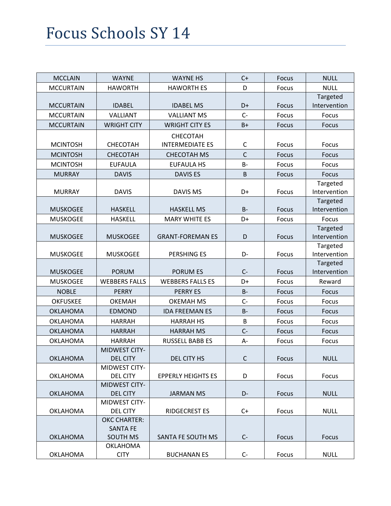| <b>MCCLAIN</b>   | <b>WAYNE</b>                       | <b>WAYNE HS</b>           | $C+$         | <b>Focus</b> | <b>NULL</b>              |
|------------------|------------------------------------|---------------------------|--------------|--------------|--------------------------|
| <b>MCCURTAIN</b> | <b>HAWORTH</b>                     | <b>HAWORTH ES</b>         | D            | Focus        | <b>NULL</b>              |
|                  |                                    |                           |              |              | Targeted                 |
| <b>MCCURTAIN</b> | <b>IDABEL</b>                      | <b>IDABEL MS</b>          | D+           | Focus        | Intervention             |
| <b>MCCURTAIN</b> | VALLIANT                           | <b>VALLIANT MS</b>        | $C -$        | Focus        | Focus                    |
| <b>MCCURTAIN</b> | <b>WRIGHT CITY</b>                 | <b>WRIGHT CITY ES</b>     | $B+$         | Focus        | <b>Focus</b>             |
|                  |                                    | CHECOTAH                  |              |              |                          |
| <b>MCINTOSH</b>  | CHECOTAH                           | <b>INTERMEDIATE ES</b>    | C            | Focus        | Focus                    |
| <b>MCINTOSH</b>  | <b>CHECOTAH</b>                    | <b>CHECOTAH MS</b>        | $\mathsf{C}$ | Focus        | <b>Focus</b>             |
| <b>MCINTOSH</b>  | <b>EUFAULA</b>                     | <b>EUFAULA HS</b>         | $B -$        | Focus        | Focus                    |
| <b>MURRAY</b>    | <b>DAVIS</b>                       | <b>DAVIS ES</b>           | B            | Focus        | Focus                    |
|                  |                                    |                           |              |              | Targeted                 |
| <b>MURRAY</b>    | <b>DAVIS</b>                       | <b>DAVIS MS</b>           | D+           | Focus        | Intervention             |
|                  |                                    |                           |              |              | Targeted                 |
| <b>MUSKOGEE</b>  | <b>HASKELL</b>                     | <b>HASKELL MS</b>         | $B -$        | Focus        | Intervention             |
| <b>MUSKOGEE</b>  | <b>HASKELL</b>                     | <b>MARY WHITE ES</b>      | D+           | Focus        | Focus                    |
|                  |                                    |                           |              |              | Targeted                 |
| <b>MUSKOGEE</b>  | <b>MUSKOGEE</b>                    | <b>GRANT-FOREMAN ES</b>   | D            | Focus        | Intervention             |
| <b>MUSKOGEE</b>  | <b>MUSKOGEE</b>                    | <b>PERSHING ES</b>        | D-           | Focus        | Targeted<br>Intervention |
|                  |                                    |                           |              |              | Targeted                 |
| <b>MUSKOGEE</b>  | <b>PORUM</b>                       | <b>PORUM ES</b>           | $C -$        | Focus        | Intervention             |
| <b>MUSKOGEE</b>  | <b>WEBBERS FALLS</b>               | <b>WEBBERS FALLS ES</b>   | D+           | Focus        | Reward                   |
| <b>NOBLE</b>     | <b>PERRY</b>                       | <b>PERRY ES</b>           | $B -$        | Focus        | Focus                    |
| <b>OKFUSKEE</b>  | <b>OKEMAH</b>                      | <b>OKEMAH MS</b>          | $C-$         | Focus        | Focus                    |
| <b>OKLAHOMA</b>  | <b>EDMOND</b>                      | <b>IDA FREEMAN ES</b>     | $B -$        | <b>Focus</b> | Focus                    |
| <b>OKLAHOMA</b>  | <b>HARRAH</b>                      | <b>HARRAH HS</b>          | B            | Focus        | Focus                    |
| <b>OKLAHOMA</b>  | <b>HARRAH</b>                      | <b>HARRAH MS</b>          | $C -$        | <b>Focus</b> | Focus                    |
| <b>OKLAHOMA</b>  | <b>HARRAH</b>                      | <b>RUSSELL BABB ES</b>    | A-           | Focus        | Focus                    |
|                  | <b>MIDWEST CITY-</b>               |                           |              |              |                          |
| <b>OKLAHOMA</b>  | <b>DEL CITY</b>                    | DEL CITY HS               | $\mathsf{C}$ | Focus        | <b>NULL</b>              |
|                  | <b>MIDWEST CITY-</b>               |                           |              |              |                          |
| <b>OKLAHOMA</b>  | <b>DEL CITY</b>                    | <b>EPPERLY HEIGHTS ES</b> | D            | Focus        | Focus                    |
|                  | <b>MIDWEST CITY-</b>               |                           |              |              |                          |
| <b>OKLAHOMA</b>  | <b>DEL CITY</b>                    | <b>JARMAN MS</b>          | D-           | Focus        | <b>NULL</b>              |
|                  | <b>MIDWEST CITY-</b>               |                           |              |              |                          |
| <b>OKLAHOMA</b>  | <b>DEL CITY</b>                    | <b>RIDGECREST ES</b>      | $C+$         | Focus        | <b>NULL</b>              |
|                  | <b>OKC CHARTER:</b>                |                           |              |              |                          |
| <b>OKLAHOMA</b>  | <b>SANTA FE</b><br><b>SOUTH MS</b> | SANTA FE SOUTH MS         | $C -$        | Focus        | Focus                    |
|                  | <b>OKLAHOMA</b>                    |                           |              |              |                          |
| <b>OKLAHOMA</b>  | <b>CITY</b>                        | <b>BUCHANAN ES</b>        | $C-$         | Focus        | <b>NULL</b>              |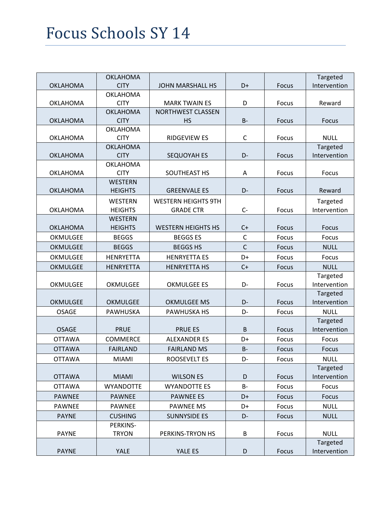|                 | <b>OKLAHOMA</b>                |                            |              |              | Targeted                 |
|-----------------|--------------------------------|----------------------------|--------------|--------------|--------------------------|
| <b>OKLAHOMA</b> | <b>CITY</b>                    | <b>JOHN MARSHALL HS</b>    | D+           | Focus        | Intervention             |
|                 | <b>OKLAHOMA</b>                |                            |              |              |                          |
| <b>OKLAHOMA</b> | <b>CITY</b>                    | <b>MARK TWAIN ES</b>       | D            | Focus        | Reward                   |
|                 | <b>OKLAHOMA</b>                | <b>NORTHWEST CLASSEN</b>   |              |              |                          |
| <b>OKLAHOMA</b> | <b>CITY</b>                    | <b>HS</b>                  | $B -$        | <b>Focus</b> | <b>Focus</b>             |
|                 | <b>OKLAHOMA</b>                |                            |              |              |                          |
| <b>OKLAHOMA</b> | <b>CITY</b><br><b>OKLAHOMA</b> | <b>RIDGEVIEW ES</b>        | $\mathsf C$  | Focus        | <b>NULL</b>              |
| <b>OKLAHOMA</b> | <b>CITY</b>                    | SEQUOYAH ES                | D-           | Focus        | Targeted<br>Intervention |
|                 | <b>OKLAHOMA</b>                |                            |              |              |                          |
| <b>OKLAHOMA</b> | <b>CITY</b>                    | SOUTHEAST HS               | A            | Focus        | Focus                    |
|                 | <b>WESTERN</b>                 |                            |              |              |                          |
| <b>OKLAHOMA</b> | <b>HEIGHTS</b>                 | <b>GREENVALE ES</b>        | D-           | Focus        | Reward                   |
|                 | <b>WESTERN</b>                 | <b>WESTERN HEIGHTS 9TH</b> |              |              | Targeted                 |
| <b>OKLAHOMA</b> | <b>HEIGHTS</b>                 | <b>GRADE CTR</b>           | $C -$        | Focus        | Intervention             |
|                 | <b>WESTERN</b>                 |                            |              |              |                          |
| <b>OKLAHOMA</b> | <b>HEIGHTS</b>                 | <b>WESTERN HEIGHTS HS</b>  | $C+$         | Focus        | Focus                    |
| OKMULGEE        | <b>BEGGS</b>                   | <b>BEGGS ES</b>            | $\mathsf C$  | Focus        | <b>Focus</b>             |
| <b>OKMULGEE</b> | <b>BEGGS</b>                   | <b>BEGGS HS</b>            | $\mathsf{C}$ | Focus        | <b>NULL</b>              |
| OKMULGEE        | <b>HENRYETTA</b>               | <b>HENRYETTA ES</b>        | D+           | Focus        | Focus                    |
| <b>OKMULGEE</b> | <b>HENRYETTA</b>               | <b>HENRYETTA HS</b>        | $C+$         | Focus        | <b>NULL</b>              |
|                 |                                |                            |              |              | Targeted                 |
| OKMULGEE        | OKMULGEE                       | <b>OKMULGEE ES</b>         | D-           | Focus        | Intervention             |
|                 |                                |                            |              |              | Targeted                 |
| <b>OKMULGEE</b> | <b>OKMULGEE</b>                | <b>OKMULGEE MS</b>         | D-           | Focus        | Intervention             |
| <b>OSAGE</b>    | PAWHUSKA                       | <b>PAWHUSKA HS</b>         | D-           | Focus        | <b>NULL</b>              |
|                 |                                |                            |              |              | Targeted                 |
| <b>OSAGE</b>    | <b>PRUE</b>                    | <b>PRUE ES</b>             | B            | <b>Focus</b> | Intervention             |
| <b>OTTAWA</b>   | <b>COMMERCE</b>                | <b>ALEXANDER ES</b>        | D+           | Focus        | Focus                    |
| <b>OTTAWA</b>   | <b>FAIRLAND</b>                | <b>FAIRLAND MS</b>         | <b>B-</b>    | Focus        | Focus                    |
| <b>OTTAWA</b>   | <b>MIAMI</b>                   | <b>ROOSEVELT ES</b>        | D-           | Focus        | <b>NULL</b>              |
|                 |                                |                            |              |              | Targeted                 |
| <b>OTTAWA</b>   | <b>MIAMI</b>                   | <b>WILSON ES</b>           | D            | Focus        | Intervention             |
| <b>OTTAWA</b>   | <b>WYANDOTTE</b>               | <b>WYANDOTTE ES</b>        | <b>B-</b>    | Focus        | Focus                    |
| <b>PAWNEE</b>   | <b>PAWNEE</b>                  | <b>PAWNEE ES</b>           | D+           | Focus        | Focus                    |
| <b>PAWNEE</b>   | <b>PAWNEE</b>                  | <b>PAWNEE MS</b>           | D+           | Focus        | <b>NULL</b>              |
| <b>PAYNE</b>    | <b>CUSHING</b>                 | <b>SUNNYSIDE ES</b>        | D-           | Focus        | <b>NULL</b>              |
|                 | PERKINS-                       |                            |              |              |                          |
| <b>PAYNE</b>    | <b>TRYON</b>                   | PERKINS-TRYON HS           | B            | Focus        | <b>NULL</b>              |
|                 |                                |                            |              |              | Targeted                 |
| <b>PAYNE</b>    | YALE                           | YALE ES                    | D            | Focus        | Intervention             |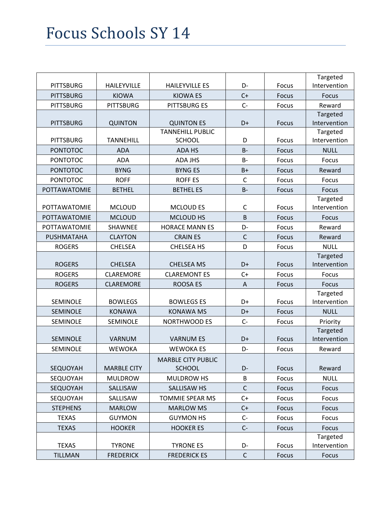|                     |                    |                           |              |       | Targeted                 |
|---------------------|--------------------|---------------------------|--------------|-------|--------------------------|
| <b>PITTSBURG</b>    | <b>HAILEYVILLE</b> | <b>HAILEYVILLE ES</b>     | D-           | Focus | Intervention             |
| <b>PITTSBURG</b>    | <b>KIOWA</b>       | <b>KIOWA ES</b>           | $C+$         | Focus | Focus                    |
| <b>PITTSBURG</b>    | <b>PITTSBURG</b>   | <b>PITTSBURG ES</b>       | $C -$        | Focus | Reward                   |
|                     |                    |                           |              |       | Targeted                 |
| <b>PITTSBURG</b>    | <b>QUINTON</b>     | <b>QUINTON ES</b>         | D+           | Focus | Intervention             |
|                     |                    | <b>TANNEHILL PUBLIC</b>   |              |       | Targeted                 |
| <b>PITTSBURG</b>    | <b>TANNEHILL</b>   | <b>SCHOOL</b>             | D            | Focus | Intervention             |
| <b>PONTOTOC</b>     | <b>ADA</b>         | ADA HS                    | $B -$        | Focus | <b>NULL</b>              |
| <b>PONTOTOC</b>     | <b>ADA</b>         | <b>ADA JHS</b>            | $B -$        | Focus | Focus                    |
| <b>PONTOTOC</b>     | <b>BYNG</b>        | <b>BYNG ES</b>            | $B+$         | Focus | Reward                   |
| <b>PONTOTOC</b>     | <b>ROFF</b>        | <b>ROFF ES</b>            | $\mathsf{C}$ | Focus | Focus                    |
| POTTAWATOMIE        | <b>BETHEL</b>      | <b>BETHEL ES</b>          | $B -$        | Focus | Focus                    |
|                     |                    |                           |              |       | Targeted                 |
| <b>POTTAWATOMIE</b> | <b>MCLOUD</b>      | <b>MCLOUD ES</b>          | C            | Focus | Intervention             |
| POTTAWATOMIE        | <b>MCLOUD</b>      | MCLOUD HS                 | B            | Focus | Focus                    |
| POTTAWATOMIE        | SHAWNEE            | <b>HORACE MANN ES</b>     | D-           | Focus | Reward                   |
| PUSHMATAHA          | <b>CLAYTON</b>     | <b>CRAINES</b>            | $\mathsf{C}$ | Focus | Reward                   |
| <b>ROGERS</b>       | <b>CHELSEA</b>     | <b>CHELSEA HS</b>         | D            | Focus | <b>NULL</b>              |
|                     |                    |                           |              |       | Targeted                 |
| <b>ROGERS</b>       | <b>CHELSEA</b>     | <b>CHELSEA MS</b>         | D+           | Focus | Intervention             |
| <b>ROGERS</b>       | <b>CLAREMORE</b>   | <b>CLAREMONT ES</b>       | $C+$         | Focus | Focus                    |
| <b>ROGERS</b>       | <b>CLAREMORE</b>   | <b>ROOSA ES</b>           | A            | Focus | <b>Focus</b>             |
| SEMINOLE            | <b>BOWLEGS</b>     | <b>BOWLEGS ES</b>         | D+           | Focus | Targeted<br>Intervention |
|                     |                    |                           |              |       |                          |
| SEMINOLE            | <b>KONAWA</b>      | <b>KONAWA MS</b>          | D+           | Focus | <b>NULL</b>              |
| SEMINOLE            | <b>SEMINOLE</b>    | <b>NORTHWOOD ES</b>       | $C -$        | Focus | Priority<br>Targeted     |
| <b>SEMINOLE</b>     | <b>VARNUM</b>      | <b>VARNUM ES</b>          | D+           | Focus | Intervention             |
| SEMINOLE            | <b>WEWOKA</b>      | <b>WEWOKA ES</b>          | D-           | Focus | Reward                   |
|                     |                    | <b>MARBLE CITY PUBLIC</b> |              |       |                          |
| SEQUOYAH            | <b>MARBLE CITY</b> | <b>SCHOOL</b>             | D-           | Focus | Reward                   |
| SEQUOYAH            | <b>MULDROW</b>     | MULDROW HS                | B            | Focus | <b>NULL</b>              |
| SEQUOYAH            | SALLISAW           | SALLISAW HS               | $\mathsf C$  | Focus | <b>Focus</b>             |
| SEQUOYAH            | SALLISAW           | TOMMIE SPEAR MS           | $C+$         | Focus | Focus                    |
| <b>STEPHENS</b>     | <b>MARLOW</b>      | <b>MARLOW MS</b>          | $C+$         | Focus | Focus                    |
| <b>TEXAS</b>        | <b>GUYMON</b>      | <b>GUYMON HS</b>          | $C-$         | Focus | Focus                    |
|                     |                    |                           |              |       |                          |
| <b>TEXAS</b>        | <b>HOOKER</b>      | <b>HOOKER ES</b>          | $C -$        | Focus | Focus<br>Targeted        |
| <b>TEXAS</b>        | <b>TYRONE</b>      | <b>TYRONE ES</b>          | D-           | Focus | Intervention             |
| <b>TILLMAN</b>      | <b>FREDERICK</b>   | <b>FREDERICK ES</b>       | $\mathsf C$  | Focus | Focus                    |